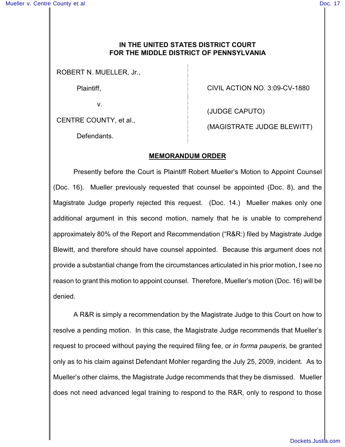## **IN THE UNITED STATES DISTRICT COURT FOR THE MIDDLE DISTRICT OF PENNSYLVANIA**

ROBERT N. MUELLER, Jr.,

Plaintiff,

v.

CENTRE COUNTY, et al.,

CIVIL ACTION NO. 3:09-CV-1880

(JUDGE CAPUTO)

Defendants.

(MAGISTRATE JUDGE BLEWITT)

## **MEMORANDUM ORDER**

Presently before the Court is Plaintiff Robert Mueller's Motion to Appoint Counsel (Doc. 16). Mueller previously requested that counsel be appointed (Doc. 8), and the Magistrate Judge properly rejected this request. (Doc. 14.) Mueller makes only one additional argument in this second motion, namely that he is unable to comprehend approximately 80% of the Report and Recommendation ("R&R:) filed by Magistrate Judge Blewitt, and therefore should have counsel appointed. Because this argument does not provide a substantial change from the circumstances articulated in his prior motion, I see no reason to grant this motion to appoint counsel. Therefore, Mueller's motion (Doc. 16) will be denied.

A R&R is simply a recommendation by the Magistrate Judge to this Court on how to resolve a pending motion. In this case, the Magistrate Judge recommends that Mueller's request to proceed without paying the required filing fee, or *in forma pauperis*, be granted only as to his claim against Defendant Mohler regarding the July 25, 2009, incident. As to Mueller's other claims, the Magistrate Judge recommends that they be dismissed. Mueller does not need advanced legal training to respond to the R&R, only to respond to those